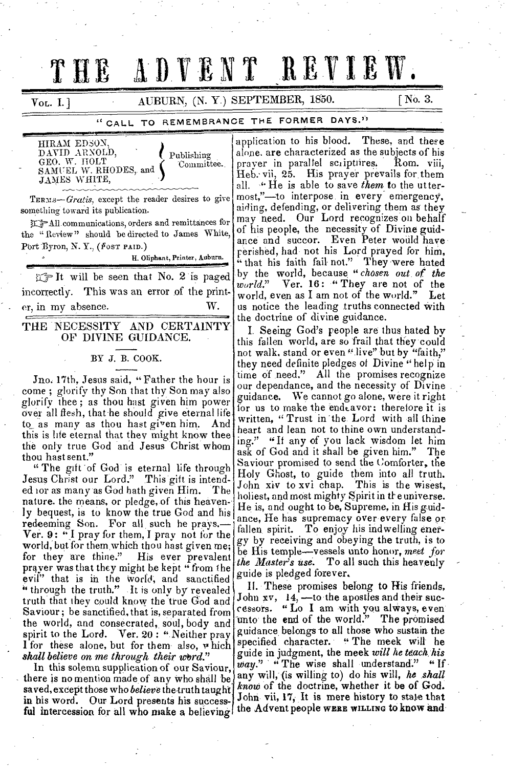# THE ADVENT REVIEW.

 $V_{\text{OL}}$ . I. ]  $\qquad \qquad \text{AUBURN}, \text{ (N. Y.) SEPTEMBER, 1850.}$  [No. 3.

# " CALL TO REMEMBRANCE THE FORMER DAYS."

HIRAM EDSON, DAVID ARNOLD, Publishing GEO. W. HOLT  $\texttt{SAM} \setminus \texttt{ELL W. RHODES, and } \blacklozenge$ Committee. JANES WHITE,

TERMS-Gratis, except the reader desires to give something toward its publication.

r.\_All.communications, orders and remittances for the "Review" should be directed to James White, Port Byron, N. Y., (Fost PAID.)

H. Oliphant, Printer, Auburn.

 $r \rightarrow$  It will be seen that No. 2 is paged incorrectly. This was an error of the print er, in my absence. W.

## THE NECESSITY AND CERTAINTY OF DIVINE GUIDANCE.

# BY J. B. COOK.

Jno. 17th, Jesus said, "Father the hour is come ; glorify thy Son that thy Son may also glorify thee ; as thou hast given him power over all flesh, that-he should give eternal life to\_ as many as thou hast given him.. And this is life eternal that they might know thee the only true God and Jesus Christ whom thou hast sent."

" The gift of God is eternal life through Jesus Christ our Lord." This gift is intended ior as many as God bath given Him. The nature. the means, or pledge, of this heavenly bequest, is to know the true God and his redeeming Son. For all, such he prays.— Ver. 9: " I pray for them, I pray not for the world, but for them,which thou hast given me; for they are thine." His ever prevalent prayer was that they might be kept " from the evil" that is in the World, and sanctified " through the truth." It is only by revealed truth that they could know the true God and Saviour; be sanctified, that is, separated from the world, and consecrated, soul, body and spirit to the Lord. Ver. 20: "Neither pray I for these alone, but for them also, which *\*hall believe on me through their 'Word."* 

In this solemn supplication of our Saviour, there is no mention made of any who shall be saved, except those who *believe* the-truth taught in his word. Our Lord presents his successful intercession for all who make a believing

application to his blood. These, and these alone, are characterized as the subjects of his<br>praver in parallel scriptifres. Rom. viii, prayer in parallel scriptuires. Heb. vii, 25. His prayer prevails for them all. **He** is able to save *them* to the uttermost,"—to interpose in every emergency, aiding, defending, or delivering them as they may need. Our Lord recognizes on behalf of his people, the necessity of Divine guidance and succor. Even Peter would have rerished, had not his Lord prayed for him, " that his faith fail not." They were hated by the world, because *"chosen out of the world."* Ver. 16: " They are not of the world, even as I am not of the world." Let us notice the leading truths connected with the doctrine of divine guidance.

I. Seeing God's people are thus hated by this fallen world, are so frail that they could not walk, stand or even "live" but by "faith," they need definite pledges of Divine " help in time of need." All the promises recognize our dependance, and the necessity of Divine guidance. We cannot go alone, were it right for us to make the end cavor: therefore it is written, "Trust in the Lord with all thine heart and lean not to thine own understanding." "If any of you lack wisdom let him ask of God and it shall be given him." The Saviour promised to send the Comforter, the Holy Ghost, to guide them into all truth. John xiv to xvi chap. holiest, and most mighty Spirit in the universe. He is, and ought to be, Supreme, in His guidance, He has supremacy over every false or fallen spirit. To enjoy his indwelling energy by receiving and obeying the truth, is to be His temple—vessels unto honor, meet for *the Master's use.* To all such this heavenly guide is pledged forever.

II. These promises belong to His friends, John  $xv$ ,  $14$ ,  $-$  to the apostles and their successors. " Lo I am with you alWays, even unto the end of the world." The promised guidance belongs to all those who sustain the specified character. "The meek will he guide in judgment, the meek *will he teach. his way."* " The *wise* shall understand." " If any will, (is willing to) do his will, *he shall know* of the doctrine, whether it be of God. John vii, 17, It is mere history to state that the Advent people **WERE WILLING** to know and

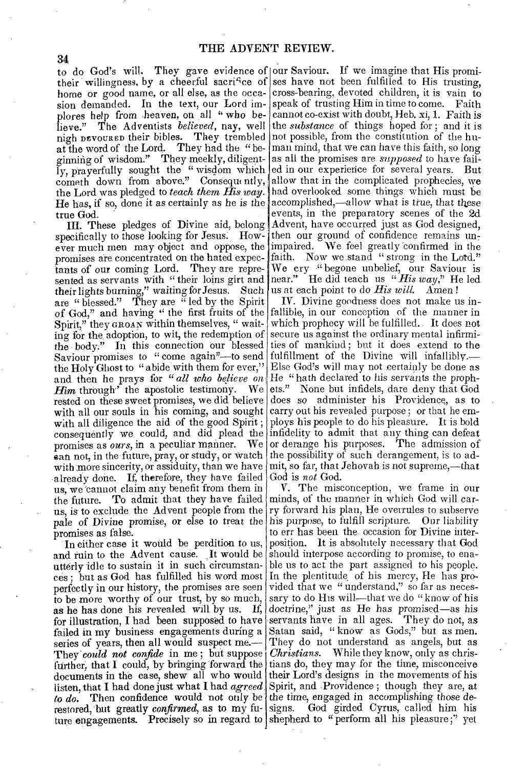to do God's will. They gave evidence of our Saviour. If we imagine that His promihome or good name, or all else, as the occasion demanded. In the text, our Lord implores help from heaven, on all "who believe." The Adventists *believed,* nay, well nigh DEVOURED their bibles. They trembled at the word of the Lord. They had the "beginning of wisdom." They meekly, diligently, prayerfully sought the "wisdom which cometh down from above." Consequently, allow that in the complicated prophecies, we the Lord was pledged to *teach them His way.*  He has, if so, done it as certainly as he is the accomplished,—allow what is true, that these true God.

III. These pledges of Divine aid, belong specifically to those looking for Jesus: However much men may object and oppose, the impaired. We feel greatly confirmed in the promises are concentrated on the hated expectants of our coming Lord. They are represented as servants with " their loins girt and their lights burning," waiting *for* Jesus. Such are " blessed." They are " led by the Spirit of God," and having " the first fruits of the Spirit," they GROAN within themselves, " waiting for the adoption, to wit, the redemption of the body:" In this connection our blessed Saviour promises to " come again"—to send the Holy Ghost to " abide with them for ever," and then he prays for *" all who believe on* **Him** through' the apostolic testimony. We *Him* through<sup> $\cdot$ </sup> the apostolic testimony. rested on these sweet promises, we did believe with all our souls in his coming, and sought with all diligence the aid of the good Spirit ; consequently we could, and did plead the infidelity to admit that any thing can defeat promises as *ours,* in a peculiar manner. We ean not, in the future, pray, or study, or watch with more sincerity, or assiduity, than we have already done. If, therefore, they have failed us, we 'cannot claim any benefit from them in the future. To admit that they have failed us, is to exclude the Advent people from the pale of Divine promise, or else to treat the promises as false.

In either case it would be perdition to us, and ruin to the Advent cause. It would be utterly idle to sustain it in such circumstances ; but as God has fulfilled his word most perfectly in our history, the promises are seen to be more worthy of our trust, by so much, as he has done his revealed will by us. If, for illustration, I had been supposed to have failed in my business engagements during a series of years, then all would suspect me.— They' *could not confide* in me ; but suppose further, that  $\Gamma$  could, by bringing forward the documents in the case, shew all who would listen, that I had done just what I had *agreed*  to do. Then confidence would not only be the time, engaged in accomplishing those derestored, but greatly *confirmed*, as to my fu- signs. God girded Cyrus, called him his ture engagements. Precisely so in regard to shepherd to "perform all his pleasure;" yet

their willingness, by a cheerful sacrifice of ses have not been fulfilled to His trusting, cross-bearing, devoted children, it is vain to speak of trusting Him in time to come. Faith cannot co-exist with doubt, Heb. xi, I. Faith is the *substance* of things hoped for ; and it is not possible, from the constitution of the human mind, that we can have this faith, so long as all the promises are *supposed* to have failed in our experience for several years. But had overlooked some things which must be events, in the preparatory scenes of the 2d Advent, have occurred just as God designed, then our ground of confidence remains  $un_7$ faith. Now we stand " strong in the Lord." We cry ." begone unbelief, our Saviour is near." He did teach us *"His way,"* He led us at each point to do *His will.* Amen !

IV. Divine goodness does not make us infallible, in our conception of the manner in which prophecy will be fulfilled. It does not secure us against the ordinary mental infirmities of mankind; but it does extend to the fulfillment of the Divine will infallibly.— Else God's will may not certainly be done as He " hath declared to his servants the prophets." None but infidels, dare deny that God does so administer his Providence, as to carry out his revealed purpose ; or that he employs his people to do his pleasure. It is bold or derange his purposes. The admission of the possibility of such derangement, is to admit, so far, that Jehovah is not suprerne,—that God is *not* God.

V. The misconception, we frame in our minds, of the manner in which God will carry forward his plan, He overrules to subserve his purpose, to fulfill scripture. Our liability to err has been the occasion for Divine interposition. It is absolutely necessary that God should interpose according to promise, to enable us to act the part assigned to his people. In the plentitude of his mercy, He has provided that we " understand," so far as necessary to do His will—that we do "know of his doctrine," just as He has promised—as his servants have in all ages. They do not, as Satan said, " know as Gods," but as men. They do not understand as angels, but as *Christians.* While they know, only as christians do, they may for the time, misconceive their Lord's designs in the movements of his Spirit, and ,Providence ; though they are, at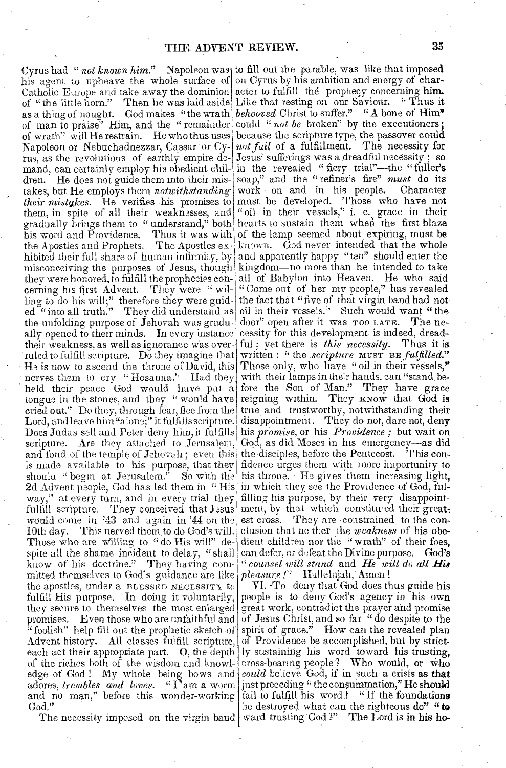Cyrus had "*not known him.*" Napoleon was to fill out the parable, was like that imposed his agent to upheave the whole surface of on Cyrus by his ambition and energy of char-Catholic Europe and take away the dominion acter to fulfill the prophecy concerning him. of man to praise" Him, and the "remainder could "not be broken" by the executioners; of wrath" will He restrain. He who thus uses because the scripture type, the passover could Napoleon or Nebuchadnezzar, Caesar or Cy- not fail of a fulfillment. The necessity for rus, as the revolutions of earthly empire de- Jesus' sufferings was a dreadful necessity; so them, in spite of all their weaknesses, and "oil in their vessels," i. e. grace in their they were honored, to fulfill the prophecies con- all of Babylon into Heaven. He who said cerning his first Advent. They were "wil- "Come out of her my people," has revealed ling to do his will;" therefore they were guid- the fact that "five of that virgin band had noted "into all truth." They did understand as oil in their vessels." Such would want "the He is now to ascend the throne of David, this Those only, who have "oil in their vessels," Does Judas sell and Peter deny him, it fulfills his *promise*, or his *Providence*; but wait on and fond of the temple of Jehovah ; even this the disciples, before the Pentecost. This con-2d Advent people, God has led them in "His $\vert$  in which they see the Providence of God, fulway," at every turn, and in every trial they filling his purpose, by their very disappointof "the little horn." Then he was laid aside as a thing of nought. God makes "the wrath mand, can certainly employ his obedient children. He does not guide them into their mistakes, but He employs them *notwithstanding their mistakes.* He verifies .his promises to gradually brings them to " understand," both his word and Providence. Thus it was with the Apostles and Prophets. The Apostles exhibited their full share of  $\,$  human infirmity, by  $\,$ misconceiving the purposes of Jesus, though the unfolding purpose of Jehovah was gradually opened to their minds. In every instance their weakness, as well as ignorance was over ruled to fulfill scripture. Do they imagine that nerves them to cry "Hosanna." Had they held their peace God would have put a tongue in the stones, and they "would have cried out." Do they, through fear, flee from the Lord, and leave him "alone;" it fulfills scripture. scripture. Are they attached to Jerusalem, is made available to his purpose, that they should "begin at Jerusalem." So with the fulfill scripture. They conceived that  $J\text{-sus}$ would come in '43 and again in '44 on the 10th day. This nerved them to do God's will. Those who are willing to " do His will" despite all the shame incident to delay, "shall know of his doctrine." They having committed themselves to God's guidance are like the apostles, under a BLESSED NECESSITY to fulfill His purpose. In doing it voluntarily, they secure to themselves the most enlarged promises. Even those who are unfaithful and "foolish" help fill out the prophetic sketch of Advent history. All classes fulfill scripture. each act their appropriate part. O, the depth of the riches both of the wisdom and knowledge of God ! My whole being bows and adores, *trembles and loves. "I* am a worm and no man," before this wonder-working God."

Like that resting on our Saviour. "Thus it *behooved* Christ to suffer." "A bone of Him in the revealed " fiery trial"—the " fuller's soap," and the " refiner's fire" *must* do its work—on and in his people. Character must be developed. Those who have not hearts to sustain them when the first blaze of the lamp seemed about expiring, must be known. God never intended that the whole and apparently happy "ten" should enter the kingdom—no more than he intended to take door" open after it was Too LATE. The necessity for this development is indeed, dreadful ; yet there is *this necessity.* Thus it is written : " the *scripture*  $M \leq T$  is fulfilled." with their lamps in their hands, can "stand before the Son of Man." They have grace reigning within. They KNOW that God is true, and trustworthy, notwithstanding their disappointment. They do not, dare not, deny God, as did Moses in his emergency—as did fidence urges them with more importunity to his throne. He gives them increasing light, ment, by that which constituted their greatest cross. They are • constrained to the conclusion that nether the *weakness* of his obedient children nor the " wrath" of their foes, can defer, or defeat the Divine purpose. God's *" counsel will stand* and *He will do all His pleasure !"* Hallelujah Amen !

easure I' tiallelujan, Amen !<br>VI. To deny that God does thus guide his people is to deny God's agency in his own great work, contradict the prayer and promise of Jesus Christ, and so far " do despite to the spirit of grace." How can the revealed plan of Providence be accomplished, but by strict. ly sustaining his word toward his trusting, cross-bearing people? Who would, or Who *could* believe God, if in such a crisis as that just preceding " the consummation," He should fail to fulfill his word! "If the foundations he destroyed what can the righteous do" "to The necessity imposed on the virgin band ward trusting God?" The Lord is in his ho-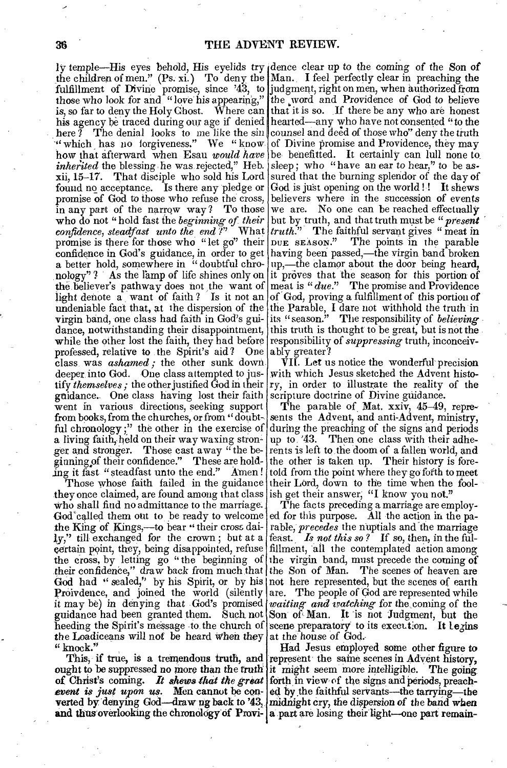ly temple—His eyes behold, His eyelids try dence clear up to the coming of the Son of here  $\widetilde{I}$  The denial looks to me like the sin " which has no forgiveness." We "know. *inherited* the blessing he was rejected," Heb.<br>xii, 15–17. That disciple who sold his Lord That disciple who sold his Lord found no acceptance. Is there any pledge or promise of God to those who refuse the cross, in any part of the narrow way ? To those who do not "hold fast the *beginning of their confidence, steadfast unto the end ?"* What promise is there for those who "let go" their *a* better hold, somewhere in " doubtful chroundeniable fact that, at the dispersion of the virgin band, one class had faith in God's guiwhile the other lost the faith, they had before responsibility of *suppressing* truth, inconceivprofessed, relative to the Spirit's aid? One ably greater? class, was *ashamed ;* the other sunk down deeper into God. One class attempted to justify *themselves ;* the other justified God in their guidance. One class having lost their faith went in various directions, seeking support from books, from the churches, or from "doubtful chronology ;" the other in the exercise of a living faith, held on their way waxing stronger and stronger. Those cast away "the beginning of their confidence." These are holding it fast "steadfast unto the end." Amen !

Those whose faith failed in the guidance they once claimed, are found among that class who shall find no admittance to the marriage. God called them out to be ready to welcome ed for this purpose. All the action in the pathe King of Kings,—to bear " their cross daily," till exchanged for the crown ; but at a certain point, they, being disappointed, refuse the cross, by letting go "the beginning of the virgin band, must precede the coming of their confidence," draw back from much that the Son of Man. The scenes of heaven are God had " sealed," by his Spirit, or by his not here represented, but the scenes of earth Proivdence, and joined the world (silently) it may be) in denying that God's promised guidance had been granted them. Such not heeding the Spirit's message -to the church of the Loadiceans will not be heard When they " knock."

This, if true, is a tremendous truth, and ought to be suppressed no more than the truth it might seem more intelligible. The going of Christ's coming. It shews that the great forth in view of the signs and periods, preach*event is just upon us.* Men cannot be converted by 'denying God—draw pg back to '43, and thus overlooking the chronology of Provi- a part are losing their light—one part remain-

the children of men." (Ps. xi.) To deny the Man. I feel perfectly clear in preaching the fulfillment of Divine promise, since '43, to judgment, right on men, when authorized from those who look for and "love his appearing," the word and Providence of God to believe is, so far to deny the Holy Ghost. Where can that it is so. If there be any who are honest his agency be traced during our age if denied hearted—any who have not consented "to the how that afterward when Esau *would have* be benefitted. It certainly can lull none to confidence in God's guidance, in order to get having been passed,—the virgin band broken nology"? As the lamp of life shines only on it proves that the season for this portion of the believer's pathway does not the want of meat is  $"due."$  The promise and Providence light denote a want of faith ? Is it not an of God, proving a fulfillment of this portion of dance, notwithstanding their disappointment, this truth is thought to be great, but is not the counsel and deed of those who" deny the truth of Divine promise and Providence, they may sleep; who "have an ear to hear," to be *assured* that the burning splendor of the day of God is just opening on the world !! It shews believers where in the succession of events we are. No one can be reached effectually<br>but by truth, and that truth must be " $present$ but by truth, and that truth must be *" present truth.*" The faithful servant gives "meat in DUE SEASON." The points in the parable up,—the clamor about the door being heard, the Parable, I dare not withhold the truth in its "season." The responsibility of *believing* 

> VII. Let us notice the wonderful- precision with which Jesus sketched the Advent history, in order to illustrate the reality of the scripture doctrine of Divine guidance.

> The parable of Mat. xxiv, 45-49, represents the Advent, and anti-Advent, ministry, during the preaching of the signs and periods up to '43. Then one class with their adherents is left to, the doom of a fallen world, and the other is taken up. Their history is foretold from the point where they go forth to meet their Lord, down to the time when the foolish get their answer, "I know you not."

> The facts preceding a marriage are employrable, *precedes* the nuptials and the marriage feast. *Is not this so ?* If so, then, in the fulfillment, all the contemplated action among are. The people of God are represented while *waiting and watching* for the coming of the Son of Man. It is not Judgment, but the scene preparatory to its execution. It legins at the' house of God.

> Had Jesus employed some other figure to represent the same scenes in Advent history, it might seem more intelligible. The going ed by the faithful servants—the tarrying—the midnight cry, the dispersion of the band when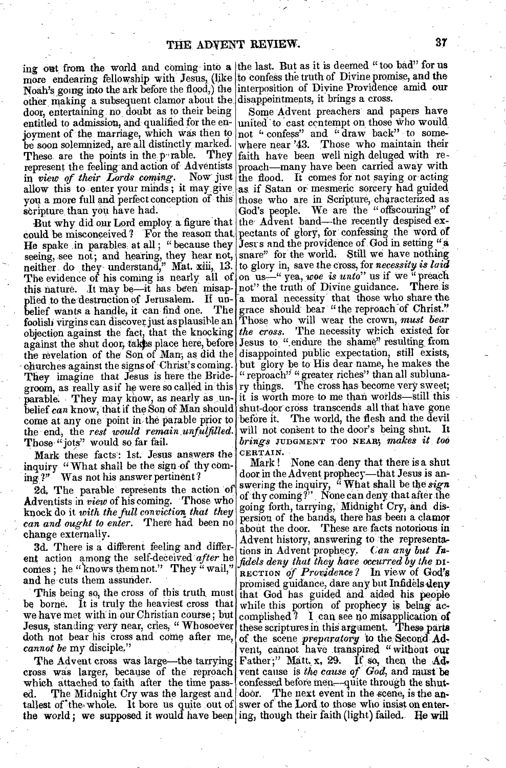other, making a subsequent clamor about the disappointments, it brings a cross. door, entertaining no, doubt as to their being entitled to admission, and qualified for the en- united to cast contempt on those who would joyment of the marriage, which Was then to be soon solemnized, are all distinctly marked. These are the points in the p-rable. They represent the feeling and action of Adventists proach—many have been carried away with in *view of their Lords coming*. Now just the flood. It comes for not saying or acting allow this to enter your minds; it may give as if Satan or mesmeric sorcery had guided you a more full and perfect conception of this scripture than you have had.

could be misconceived? For the reason that pectants of glory, for confessing the word of He spake in parables at all; "because they Jesus and the providence of God in setting "a seeing, see not; and hearing, they hear not, neither do they understand," Mat. xiii, The evidence of his coming is nearly all of on us—" yea, woe is unto" us if we "preach this nature. It may be—it has been misap- not" the truth of Divine guidance. There is plied to the destruction of Jerusalem. If un- a moral necessity that those who share the belief wants a handle, it can find one. The grace should bear "the reproach of Christ." foolish virgins can discover just as plausible an Those who will wear the crown, *must bear* objeetieri against the fact, that the knocking *the cross.* The necessity which existed for against the shut door, takes place here, before Jesus to "endure the shame" resulting from the revelation of the Son of Man, as did the disappointed public expectation, still exists, churches against the signsof Christ's coming. but glory be to' His dear name, he makes the They imagine that Jesus is here the Bridegroom, as really as if he were so called in this parable. They may know, as nearly as un- it is worth more to me than worlds—still this belief can know, that if the Son of Man should shut-door cross transcends all that have gone come at any one point in the parable prior to the end; the *rest would remain unfulfilled.*  Those "iots" would so far fail.

Mark these facts: 1st. Jesus answers the inquiry "What shall be the sign of thy coming?" Was not his answer pertinent?

2d, The parable represents the action of Adventists in *view* of his coming. Those who knock do it *with the full conviction;that they can and ought to enter.* There had been no change externally.

3d. There is a different feeling and different action among the self-deceived '*after* he comes ; he "knows them not." They " wail," and he cuts them assunder.

This being so, the cross of this truth must be borne. It is truly the heaviest cross that we have met with in our Christian course; but Jesus, standing very near, cries, " Whosoever doth not bear his cross and come after me, *cannot be* my disciple."

The Advent cross was large—the tarrying cross was larger, because of the reproach which attached to faith after the time pass-The Midnight Cry was the largest and tallest of the whole. It bore us quite out of swer of the Lord to those who insist on enterthe world; we supposed it would have been ing, though their faith (light) failed. He will

ing out from the world and coming into a the last. But as it is deemed "too bad" for us more endearing fellowship with Jesus, (like to confess the truth of Divine promise, and the Noah's going into the ark before the flood,) the interposition of Divine Providence amid our

But why did our Lord employ a figure that the Advent band—the recently despised ex-Some Advent preachers and papers have not " confess" and " draw back" to somewhere near '43. Those who maintain their faith have been well nigh deluged with rethose who are in Scripture, characterized as God's people. We are the "offscouring" of snare" for the world. Still we have nothing to glory in, save the cross, for *necessity is laid*  " reproach" " greater riches" than all sublunary things. The cross has become very sweet; before it. The world, the flesh and the devil will not consent to the door's being shut. It *brings* .TUDGIVIENT TOO NEAR', *makes it, too*  CERTAIN.

> Mark ! None can deny that there is a shut door in the Advent prophecy—that Jesus is answering the inquiry, " What shall be the *sign*  of thy coming?" None can deny that after the going forth, tarrying, Midnight Cry, and dispersion of the bands, there has been a clamor about the door. These are facts notorious in Advent history, answering to the representations in Advent 'prophecy. *Gan any but Infidels deny that they have occurred by the* DI— RECTION *of Providence?* In view of God's promised guidance, dare any but Infidels deny that God has guided and aided his people while this portion of prophecy is, being accomplished? I eah see no misapplication of these scriptures in this argument. These parts of the scene *preparatory to* the 'Second Ad, vent, cannot have transpired " without our Father;" Matt, x, 29. If so, then the  $Ad_{7}$ vent cause is *the cause of Gad,* and must be confessed before men—quite through the shutdoor. The next event in the scene, is the an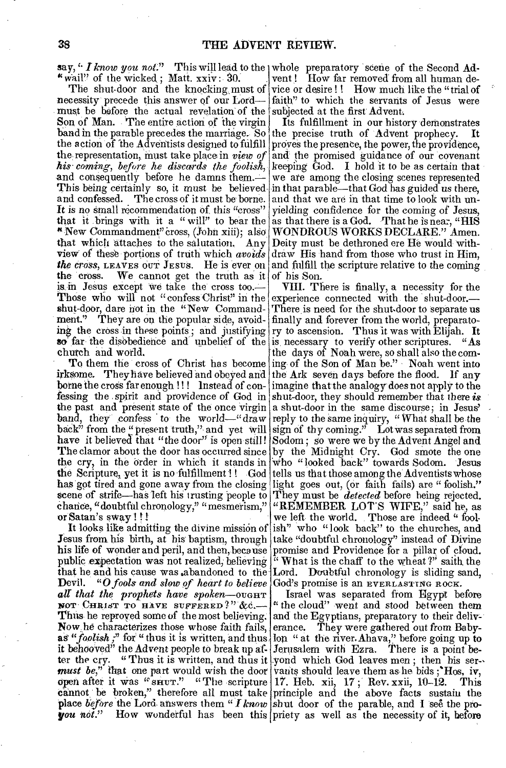say, "*I know you not.*" This will lead to the whole preparatory scene of the Second Ad-"wail" of the wicked; Matt.  $xxiv: 30$ .

The shut-door and the knocking must of necessity precede this answer of our Lord must be before the actual revelation of the Son of Man. The entire action of the virgin band in the parable precedes the marriage. So the action of the Adventists designed to fulfill the representation, must take place in *view of* his coming, before he discards the foolish, and consequently before he damns them. This being certainly so, it must be believedand confessed. The cross of it must be borne. It is no small recommendation of this "cross" that it brings with it a "will" to bear the 4New Commandment" Cross, (John xiii); alSo that which attaches to the salutation, Any view' of these portions of truth which *avoids*  the cross, LEAVES our JESUS. He is ever on and fulfill the scripture relative to the coming the cross. We cannot get the truth as it is in Jesus except we take the cross too. Those who will not "confess Christ" in the experience connected with the shut-door. shut-door, dare not in the "New Commandment." They are on the popular side, avoiding the cross in these points; and justifying ry to ascension. Thus it was with Elijah. It so far the disobedience and unbelief of the church and world.

To them the cross of Christ has become irksome. They have believed and obeyed and borne the cross far enough !!! Instead of confessing the spirit and providence of God in the past and present state of the once virgin band, they confess to the world—" draw back" from the " present truth," and yet will have it believed that "the door" is open still! The clamor about the door has occurred since by the Midnight Cry. God smote the one the cry, in the Order in which it stands in the Scripture, yet it is no fulfillment !! God tells us that those among the Adventists whose has got tired and gone away from the closing light goes out, (or faith fails) are "foolish." scene of strife—has left his trusting people to They must be *detected* before being rejected. chance, "doubtftil chronology," "mesmerism," or Satan's sway ! !

Jesus from his birth, at his baptism, through take "doubtful chronology" instead of Divine his life of wonder and peril, and then, because public expectation was not realized, believing that he and his cause was ,abandoned to the Lord. Doubtful chronology is sliding sand, Devil. "O *fools and slow of heart to believe* God's promise is an EVERLASTING ROCK. **Devil.** "O fools and slow of heart to believe<br>all that the prophets have spoken—ought NOT CHRIST TO HAVE SUFFERED?"  $\&c$ . Thus he reproved some of the most believing. and the Egyptians, preparatory to their deliv-Now,he characterizes those whose faith fails, erance. They were gathered out from Babyas "foolish," for " thus it is written, and thus lon " at the river. Ahava," before going up to it behooved" the Advent people to break up at- Jerusalem with Ezra. There is a point be*must be," that* one part would wish the door open after it was "SHUT." "The scripture cannot be broken," therefore all must take principle and the above facts sustain the place *before* the Lord answers them "*I know* shut door of the parable, and I see the pro-

vent ! How far removed from all human device or desire!! How much like the "trial of faith" to which the servants of Jesus were subjected at the first Advent:

Its fulfillment in our history demonstrates the precise truth of Advent prophecy. It proves the presence, the power, the providence, and the promised guidance of our covenant keeping God. I hold it to be as certain that we ate among the closing scenes represented in that parable—that God has guided us there, and that we are in that time to look with unyielding confidence for the coming of Jesus, as that there is a God. That he is near, "HIS WONDROUS WORKS DECLARE." Amen. Deity must be dethroned ere He would withdraw His hand from those who trust in Him, of his Son.

It looks like admitting the divine mission of  $\begin{bmatrix} 1 & 1 & 1 & 1 \\ 1 & 1 & 1 & 1 \\ 1 & 1 & 1 & 1 \end{bmatrix}$  who " look back" to the churches, and sus from his birth, at his baptism, through lake "doubtful chronology" instead of Vivin VIII. There is finally, a necessity for the There is need for the shut.door to separate us finally and forever from the world, preparatois, necessary to verify other scriptures. "As the days of Noah were, so shall also the coming of the Son of Man be." Noah went into the Ark seven days before the flood. If any imagine that the analogy does not apply to the shut-door, they should remember that there *is*  a shut-door in the same discourse; in Jesus' reply to the same inquiry, " What shall be the sign of thy coming." Lot was separated from Sodom ; so were we by the Advent Angel and who " looked back" towards Sodom. Jesus "REMEMBER LOT'S WIFE," said he, as we left the world. Those are indeed " foolpromise and Providence for a pillar of cloud.  $\mathbf{W}$  What is the chaff to the wheat ?" saith, the

the cry. "Thus it is written, and thus it yond which God leaves men; then his ser**you** not." How wonderful has been this priety as well as the necessity of it, before Israel was separated from Egypt before " the cloud" went and stood between them vants should leave them as he bids ;'Hos, iv, 17. Heb. xii, 17 ; Rev. xxii, 10-12. This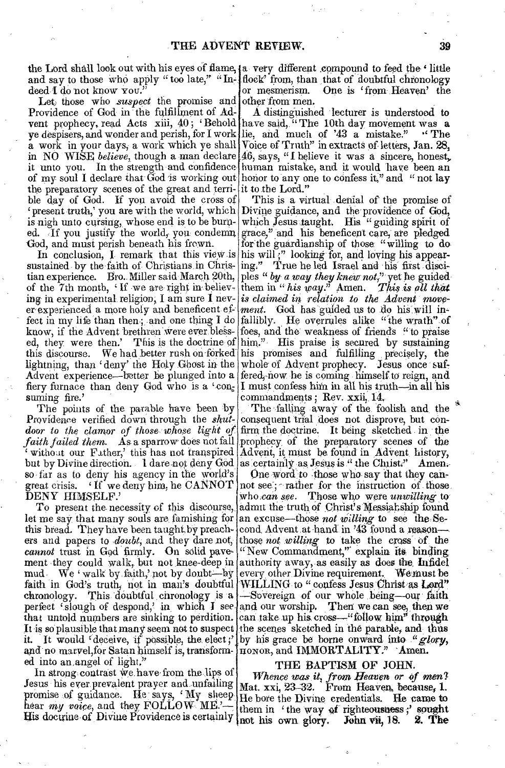the Lord shall look out with his eyes of flame, (a very different compound to feed the 'little and say to those who apply "too late," "In- $\int$ flock" from, than that of doubtful chronology deed I do not know you.

Let those who *suspect* the promise and other from men. Providence of God in the fulfillment of Adthe preparatory scenes of the great and terri-it to tbe Lord." ble day of God. If you avoid the cross of is nigh unto cursing, whose end is to be burn- which Jesus taught. His "guiding spirit of ed. If you justify the world, you condemn grace," and his beneficent care, are pledged God, and must perish beneath his frown.

sustained by the faith of Christians in Chris- ing." True he led Israel and his first discitian experience. Bro. Miller said March 20th, of the 7th month, 'If we are right in believing in experimental religion, I am sure I nev- is *claimed in relation to the Advent move*er experimental tengton, I am sure I hev- is trained in Telation to the Advent move-<br>er experienced a more holy and beneficent ef- ment. God has guided us to do his will inknow, if the Advent brethren were ever bless- foes, and the weakness of friends "to praise ed, they were then.' This is the doctrine of this discourse. We had better rush on forked lightning, than 'deny' the Holy Ghost in the Advent experience—better be plunged into a fered, now he is coming himself to reign, and fiery furnace than deny God who is a 'con<sub>s</sub>  $\vert$ I must confess him in all his truth--in all his suming fire.'

The points of the parable have been by Providence verified down through the *shut-* consequent trial does not disprove, but conso far as to deny his agency in the world's great crisis.  $\{$  If we deny him, he CANNOT DENY HIMSELF.'

To present the necessity of this discourse, let me say that many souls are famishing for this bread. They have been taught by preachers and papers to *doubt*, and they dare not, *cannot* trust in God firmly. On solid pavement they could walk, but not knee-deep in authority away, as easily as does the Infidel mud – We 'walk by faith,' not by doubt--by perfect 'slough of despond,' in, which I see and our worship. that untold numbers are sinking to perdition.  $|$  can take up his cross—"follow him" through It is so plausible that many seem not to suspect the scenes sketched in the parable, and thus it. It would 'deceive, if possible, the elect;'] and no marvel,for Satan himself is, transformed into an angel of light,"

In strong contrast we have from the lips of Jesus his ever prevalent prayer and unfailing promise of guidance. He says, 'My sheep hear *my voice*, and they FOLLOW ME.'-

or mesmerism. One is 'from Heaven' the

vent prophecy, read Acts xiii, 40; 'Behold have said, "The 10th day movement was a ye despisers, and wonder and perish, for I work lie, and much of '43 a mistake." " The a work in your days, a work which ye shall Voice of Truth" in extracts of letters, Jan.  $28$ , in NO WISE *believe*, though a man declare 46, says, "I believe it was a sincere, honest, it unto you. In the strength and confidence human mistake, and it would have been an of my soul I declare that God is working out honor to any one to confess it," and " not lay A distinguished lecturer is understood to

present truth,' you are with the world, which Divine guidance, and the providence of God, In conclusion, I remark that this view is his will," looking for, and loving his appearfect in my life than then, and one thing I do fallibly. He overrules alike "the wrath" of This is a virtual denial of the promise of for the guardianship of those "willing to do ples " *by a way they knew not*," yet he guided them in "his way." Amen. *This is all that* His praise is secured by sustaining his promises and fulfilling precisely, the whole of Advent prophecy. Jesus once sufcommandments; Rev. xxii, 14.

door to the clamor of those whose light of firm the doctrine. It being sketched in the *faith failed them.* As a sparrow does not fall prophecy of the preparatory scenes of the without our Father, this has not transpired Advent, it must be found in Advent history, but by Divine direction. I dare-not deny God as certainly as Jesus is ." the Christ." Amen.-The falling away of the foolish and, the

faith in God's truth, not in man's doubtful WILLING to "confess Jesus Christ as Lord" chronology. This doubtful chronology is a -Sovereign of our whole being-our faith One word to those who say that they cannot see; rather for the instruction of those, who can see. Those who were *unwilling* to admit the truth of Christ's Messial ship found an excuse—these *not Willing* to see the:Second, Advent ,at band, in '43 found a reason those *not willing* to take the cross of the "New Commandment," explain its binding, every other. Divine requirement. We must be Then we can see, then we by his grace be borne onward into "glory, HONOR, and IMMORTALITY." Amen.

#### THE BAPTISM OF JOHN.

His doctrine of Divine Providence is certainly not his own glory. John vii, 18. 2. The *Whence was it*, *from heaven or of men1*  Mat. xxi,  $23-32$ . From Heaven, because, 1. He bore the Divine credentials. He came to them in 'the way of righteousness;' sought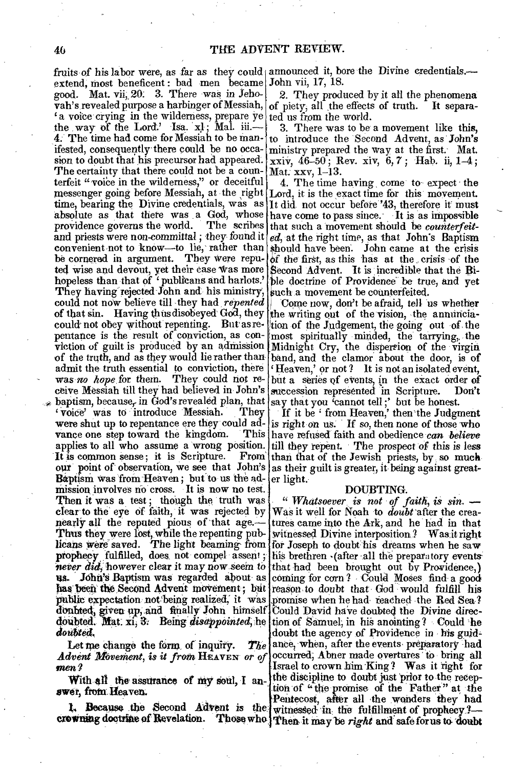extend, most beneficent : bad men became John vii, 17, 18. good. Mat. 20. 3. There was in Jehovah's revealed purpose a harbinger of Messiah, a voice crying in the wilderness, prepare  $y e | t e d$  us from the world. the way of the Lord.' Isa.  $x!$ ; Mal. iii.-The time had come for Messiah to be manifested, consequently- there could be no occasion to doubt that his precursor had appeared. The certainty that there could not be a coun- $Mat, xxv, 1-13$ . terfeit "voice in the wilderness," or deceitful messenger going before Messiah, at the right Lord, it is the exact time for this movement. time, bearing the Divine credentials, was as It did not occur before '43, therefore it must absolute as that there was a God, whose have come to pass since. It is as impossible providence governs the world. The scribes and priests were non-committal; they found it ed, at the right time, as that John's Baptism convenient not to know—to lie, rather than should have been. John came at the crisis be cornered in argument. They were repu- of the first, as this has at the crisis of the ted wise and devout, yet their case was more Second Advent. It is incredible that the Bihopeless than that of 'publicans and harlots.' ble doctrine of Providence be true, and yet They having rejected John and his ministry, could not now believe till they had *repented* of that sin. Having thus disobeyed God, they could not obey without repenting. But as repentance is the result of conviction, as conviction of guilt is produced by an admission Midnight Cry, the dispersion of the virgin. of the truth, and as they would lie rather than admit the truth essential to conviction, there was no hope for them. They could not receive Messiah till they had believed in. John's baptism, because, in God's revealed plan, that say that you 'cannot tell;' but be honest. 'voice' was to introduce Messiah. They were shut up to repentance ere they could ad- is right on us. If so, then none of those who vance one step toward the kingdom. applies to all who assume a 'wrong position. It is common sense; it is Scripture. out' point of observation, we see that John's Baptism was from Heaven; but to us the admission involves no cross. It is now no test.. Then it was a test; though the truth was clear to the eye of faith, it was rejected by nearly all the reputed pious of that age.— Thus they were lost, while the repenting publicans were saved. The light beaming from for Joseph to doubt his dreams when he saw prophecy fulfilled, does not compel assent; prophecy fulntied, does not compet assent; his brethren (after all the preparatory events *never did,* however clear it may now seem to that had been brought out by Providence,) us. John's Baptism was regarded about as coming for corn? Could Moses find a good has been the Second Advent movement; but public expectation not being realized, it was donbted, given up, and finally John himself Could David have doubted the Divine direcdoubted. Mat. xi, 3. Being *disappointed*, he tion of Samuel, in his anointing ? Could he  $divited$ .

Let me change the form, of inquiry.  $The$ *Advent Movement, is it from HEAVEN or of men?* 

With all the assurance of my soul, I an**aWat,** froth. Heaven.

fruits of his labor were, as far as they could announced it, bore the Divine credentials.

2. They produced by it all the phenomena<br>piety, all the effects of truth. It separaof piety, all the effects of truth.

3. There was to be a movement like this, to introduce the Second Advent, as 'John's ministry prepared the way at the first. Mat.  $\overline{x}$ xiv, 46-50; Rev. xiv, 6,7; Hab. ii, 1-4;

4. The time having, come to expect the that such a movement should be *counterfeit*such a movement be counterfeited.

Come now, don't be afraid, tell us whether the writing out of the vision, the annunciation of the Judgement, the going out of the most spiritually minded, the tarrying, the band, and the clamor about the door, is of 'Heaven,' or not ? It is not an isolated event, but a series of events, in the exact order of<br>succession represented in Scripture. Don't succession represented in Scripture.

If it be 'from Heaven,' then the Judgment This have refused faith and obedience *can believe* till they repent. The prospect of this is less From than that of the Jewish priests, by, so much as their guilt is greater, it being against greater light.

#### DOUBTING.

1. Because the Second Advent is the witnessed in the fulfillment of prophecy?crowning dootrine of Revelation. Those who, Then, it may be *right* and safe for us to 'doubt' *" Whatsoever is not of faith, is sin.* — Was it well for Noah to *doubt* 'after the creatures came into the Ark, and he had in that witnessed Divine interposition.? Was, it right his brethren (after all the preparatory events) reason to doubt that God would fulfill his promise when he had, reached the Red Sea? doubt the agency of Providence in his guidance, when, after the events, preparatory had occurred; Abner made overtures to bring all Israel to crown him 'King ? Was it 'right for the discipline to doubt just prior to the reception of " the promise of the Father" at the Pentecost, after all 'the wonders they had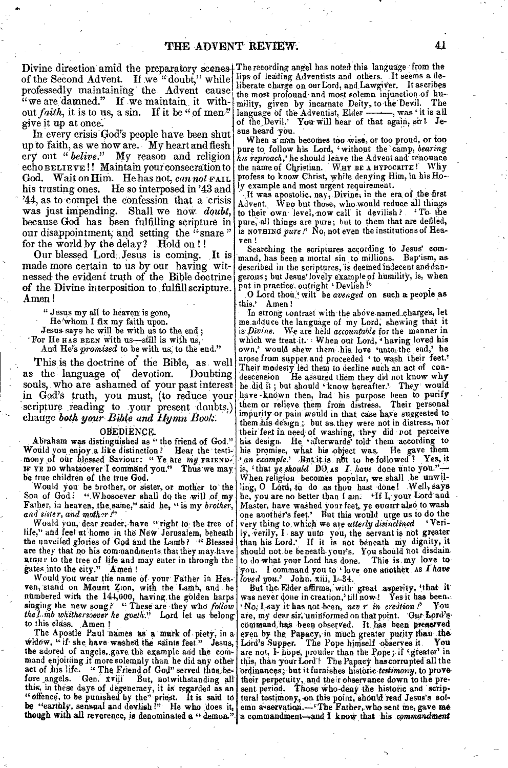Divine direction amid the preparatory scenes The recording angel has noted this language from the of the Second Advent. If we "doubt," while professedly maintaining the Advent cause  $\frac{7}{10}$  we are damned." If we maintain, it without *faith*, it is to us, a sin. If it be " of men." give it up at once.

.6.

In every crisis God's people have been shut up to faith, as we now are. My heart and flesh cry out *" belive."* My reason and religion echo BELIEVE!! Maintain your consecration to God. Wait on Him. He has not, can not FAIL his trusting ones. He so interposed in '43 and '44, as to compel the confession that a crisis was just impending. Shall we now *doubt,*  because God has been fulfilling scripture in our disappointment, and setting the "snare" for the world by the delay? Hold on ! !

Our blessed Lord:1esus is coming. It is made more certain to us by our having witnessed- the evident truth of the Bible doctrine of the Divine interposition to fulfill scripture. Amen!

" Jesus  $m\gamma$  all to heaven is gone,

He'whom I fix my faith upon.

Jesus says he will be with us to the end;

For He HAS BEEN with us-still is with us,

And He's *promised* to be with us, to the end."

This is the doctrine of the Bible, as well<br>the language of devotion. Doubting as the language of devotion. souls, who are ashamed of your past interest in God's truth, you must, (to reduce your scripture reading to your present doubts.) change both your Bible and Hymn Book.

#### OBEDIENCE.

Abraham was distinguished as " the friend of God." Would you enjoy a like distinction? Hear the testi-<br>mony of our blessed Saviour: "Ye are my FRIEND. IF YE DO whatsoever I command you." Thus we may be true children of the true God.

Would you be brother, or sister, or mother to the Son of God: "Whosoever shall do the will of my Father, is heaven, the,saine," said he, "is my *brother,*  and *sister,* and *nnoih?r!"* 

Would you, dear reader, have "right to the tree of life," and feet at home in the *New Jerusalem*, beneath the unveiled glories of God and the Lamb ? ." Blessed are they that no his commandments that they may have RIGHT to the tree of life and may enter in through the gates into the city." Amen !

Would you wear the name of your Father in Heaven, stand on Mount Zion, with the Lamb, and be numbered with the 144,000, having,the golden harps singing the new song? " These are they who follow *the l.mb whithersoever he goeth.*" Lord let us belong

to this class. Amen ! The Apostle Paul names as a murk of piety, in a widow, " if she have washed the saints feet." Jesus, the adored of angels, gave the example and the command enjoiting it more solemnly than he did any other act of .his life. " The Friend of God" served thus before angels. Gen. xviji But, notwithstanding all this, in these days of degeneracy, it is regarded as an "offence, to be punished by the" priest. It is said to be *"earthly,* sensual and devlish I" He who -does, it, though with all reverence, is denominated a " demon."

lips of leading Adventists and others. .It seems a deliberate charge on our Lord, and Lawgiver. It ascribes the most profound-and most solemn injunction of hu-<br>mility, given by incarnate Deity to the Devil. The mility, given by incarnate Deity, to the Devil. language of the Adventist, Elder ———, was 'it is all of the Devil.' You will hear of that again, sir ! Jesus heard you.

When a man becomes too wise, or too proud, or too pure to follow his Lord, 'without the 'camp, *bearing*  his reproach,' he should leave the Advent and renounce the name of Christian. Why profess to know Christ, while denying Him, in his Holy example and most urgent requirement.

It was apostolic, nay, Divine, in the era of the first Advent. Who but those; who would reduce all things to their own level, now call it devilish ? To the pure, all things are pure; but to them that are defiled, is NOTHINO *pure!'* No, not even the institutions of Heaven !

Searching the scriptures according to Jesus' command, has been a mortal sin to millions. Bap'ism, as described in the scriptures, is deemed indecent and dangerous; but Jesus'lovely example of humility, is, when put in practice' outright 'Devlish

.0 Loyd thou:" wilt be *avenged* on such a people as this.' Amen !

In strong contrast with the above named charges, let meadduce the language of my Lord; shewing that it is *Divine.* We are 'held *accountable* for the manner in which we treat it.  $\langle$  When our Lord,  $\langle$  having loved his own, would shew them his love 'unto the end,' he arose from supper and proceeded ' to wash their feet.' Their modesty led them to decline such an act of condescension He assured them they did not know why he did it; but should 'know hereafter.' They' would have known then, had his purpose been to purify them or relieve them from distress. Their personal impurity or pain would in that case have suggested to them his design; but as they were not in distress, nor their feet in need; of washing, they did rot perceive his design. He 'afterwards' told them according to his promise, what his object was, He gave them *an example.'* But it is not to be followed? Yes, it is, 'that *ye:should* DO. AS Z. *have* done unto When religion becomes popular, we shall be unwil-<br>ling, O Lord, to do as thou hast done! Well, says<br>he, you are no better than I am: 'If I, your Lord'and Master, have washed your feet, ye ovent also to wash one another's feet.' But this would urge us to do the<br>way thing to which we are uttached isinglized. 'Verivery thing to, which we are utterly disinclined verily, I say unto you, the servant is not greater than his Lord.' If it is not beneath my dignity, it should not be beneath-your's. You should not disdain to do what your Lord has done. This is my love toyou. I command you to *'* love one another as *I have* 

*loved you.* John, xiii, 1–34.<br>But the Elder affirms, with great asperity, 'that- it' was never done in creation,' till now-! Yes it has been.: it' has not -been, nev r in *credtion P* You. are, my dear sir, uninformed on that point. Our Lord's command, has been observed. It has been preserved even by the Papacy, in much greater purity than the Lord's Supper. The Pope himself observes it. You Lord's Supper. The Pope himself observes it. are not,  $\mathbf{F}$  hope, prouder than the Pope; if 'greater' in this, than your Lord! The Papacy has corrupted all the ordinances; but it furnishes historic testimony, to prove their perpetuity, and their observance down to the present, period. Those' who-deny *the* historic and "scriptural testimony, on this point, should read Jesus's solemn asservation.----The Father, who sent me, gave me.<br>a commandment--and I know that his *commandment*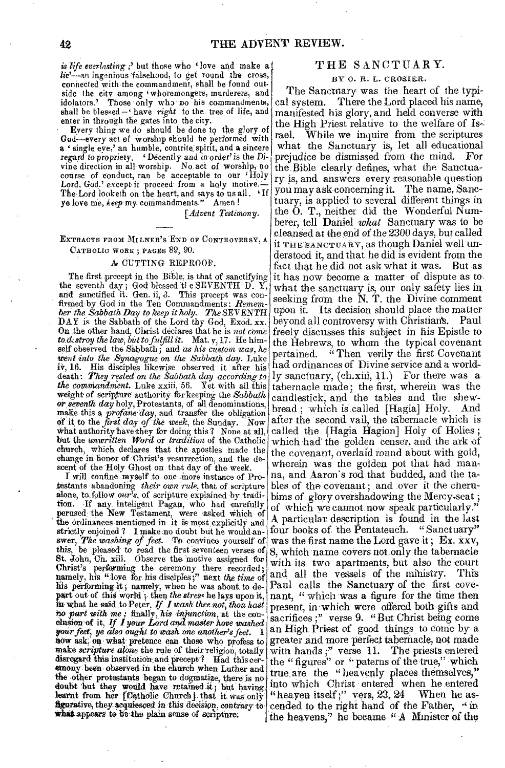*is life everlasting ;' but those who* 'love and make a *lie'—an* ingenious 'falsehood, to get round the cross, connected with the commandment, shall be found outside the city among 'whoremongers, murderers, and idolators.' Those only who no his commandments, shall be blessed - have *right* to the tree of life, and enter in through the gates into the city.

Every thing we do should be done to the glory of God--every act of worship should be performed with a 'single eye,' an humble, contrite spirit, and a sincere regard *to* propriety. Decently and in order' is the Divine direction in all, worship. No. act of worship, no course of conduct, can be acceptable to our 'Holy Lord, God.' except it proceed from a holy motive. The Lord looketh on the heart, and says to us all. 'If ye love me, *keep* my commandments." Amen!

*[Advent Testimony.* 

EXTRACTS FROM MILNER'S END OF CONTROVERSY, A CATHOLIC WORK ; PAGES 89, 90.

#### A CUTTING REPROOF.

The first precept in the Bible: is that of sanctifying the seventh day; God blessed tl e SEVENTH D. Y, and sanetified it. Gen. ii, 3. This precept was confirmed by God in the Ten Commandments: *Remember the Sabbath Day to keep it holy. The* SEVENTH DAY is the Sabbath of the Lord thy God, Exod. xx. On the other hand, Christ declares that he is *not come*  to *d*, stroy the law, but to fulfill it. Mat. v, 17. He himself observed the Sabbath; arid *as his custom was, he went into the Synagogue on the Sabbath day.* Luke iv, 16. His disciples likewise observed it after his death: *They rested on the Sabbath day according to the commandment.* Luke xxiii, 56. Yet with all this weight of scripture authority for keeping the Sabbath or seventh day holy, Protestants, of all denominations, make this a *profane day*, and transfer the obligation Of it to the *first day of the week,* the Sunday. Now What authority 'hive they for doing this? None at but the *unwritten Word* or *tradition* of the Catholic church, which declares that the apostles made the change in honor of Christ's resurrection, and the descent of the Holy Ghost on that day of the week.

I will confine myself to one more instance of Protestants abandoning *their own rule,* that of scripture alone, to. follow cur*'*s, of scripture explained by tradition. If any inteligent Pagan, who had carefully perused; the New Testament, were asked which of the ordinances mentioned in it is most, explicitly and strictly enjoined ? I make no doubt but he would answer, *The washing of feet.* To convince yourself of this, be pleased to read the first seventeen verses of St. John, Ch. xiii. Observe the 'motive assigned for Christ's performing the ceremony there recorded; namely, his "dove for, his disciples;" next *the time* of his performing it; namely, when he was about to depart out of this world; then the stress he lays upon it, figurative, they acquiesced in this decision, contrary to what appears to be the plain sense of scripture. no part with me; nnshiv, his inpurction, at the con-<br>clusion of it, *If I your Lord and master hove washed* sacrifices ;" verse 9. "But Christ being come your feet, ye also ought to wash one another's feet. *how-* ask; on- what pretence can those who profess to make *scripture alone* the rule of their religion, totally disregard this institution and precept? Had this ceremony been observed in the church when Luther and the other protestants began to dogmatize, there is no doubt but they would have retained it; but having learnt from her [Catholic Church] that it was only

#### THE SANCTUARY.

#### BY 0. R. L. CROSLER.

The Sanctuary was the heart of the typical system. There the Lord placed his name, manifested his glory, and held converse with the High Priest relative to the welfare of Israel. While we inquire from the scriptures what the Sanctuary is, let all educational prejudice be dismissed from the mind. For the Bible clearly defines, what the Sanctuary is, and answers every reasonable question you may ask concerning it. The name, Sanctuary, is applied to several different things in the 0. T., neither did the Wonderful Numberer, tell Daniel *what* Sanctuary was to be clean\$ed at the end of the 2300 days, but called it THE SANCTUARY, as though Daniel *well* understood it, and that he did is evident from the fact that he did not ask what it was. But as it has now become a matter of dispute as to what the sanctuary is, our only safety lies in seeking from the N. T. the Divine comment upon it. Its decision should place the matter beyond all controversy with Christian's. Paul freely discusses this subject in his Epistle to the Hebrews, to whom the typical covenant pertained. "Then verily the first Covenant had ordinances of Divine service and a worldly sanctuary, (ch.xiii, 11.) For there was a tabernacle made; the first, wherein was the tabernacle made; the first, wherein was the candlestick, and the tables and the shewbread ; which is called [Hagia] Holy. And after the 'second vail, the tabernacle which is called the [Hagia Hagion] Holy of Holies; which had' the golden censer. and the ark of the covenant, overlaid round about with gold, wherein was the golden pot that had manna, and Aaron's rod that budded, and the tables of the covenant; and over it the cherubims of glory overshadowing the Mercy-seat ; of which we cannot now speak particularly." A particular description is found in the last four books of the Pentateuch. "Sanctuary" was the first name the Lord gave it; Ex. xxv, 8, which name covers not only the tabernacle with its two apartments, but also the court and all the vessels of the mihistry. This Paul calls the Sanctuary of the first covenant, " which was a figure for the time then<br>present, in which were offered both gifts and an High Priest of good things to come by a greater and more 'perfect tabernacle, not made with hands;" verse 11. The priests entered the "figures" or " paterns of the true," which true are the " heavenly places themselves," into which Christ entered when he entered "heayen itself;" vers, 23, 24 When he as-<br>cended to the right hand of the Father, "in the heavens," he became "A Minister of the in what he said to Peter, *If I wash thee not, thou hast* present, in which were offered both gifts and *to part with me;* finally, *his injunction*, at the con-<br>sacrifices :" verse 9. "But Christ being come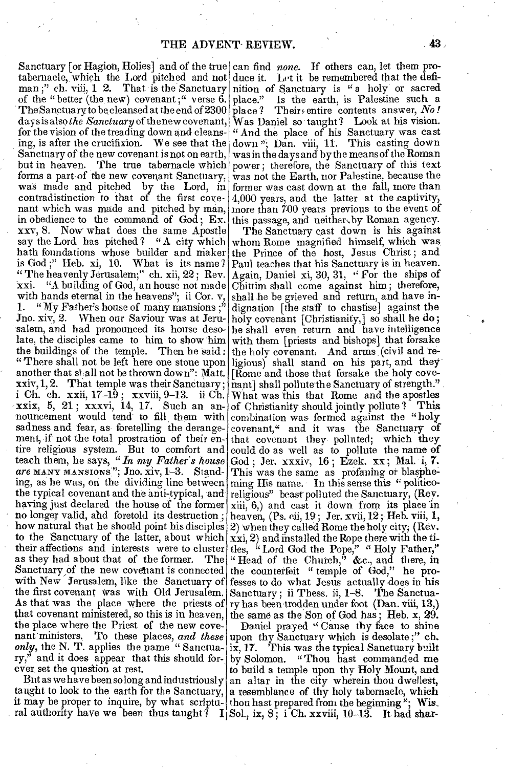Sanctuary [or Hagion, Holies] and of the true can find *none*. If others can, let them protabernacle, which the Lord pitched and not duce it. Let it be remembered that the defiman;" ch. viii, 1 2. That is the Sanctuary nition of Sanctuary is "a holy or sacred of the " better (the new) covenant;" verse  $6$ . place." The Sanctuary to be cleansed at the end of 2300 place? Their entire contents answer, *No!* days is also *the Sanctuary* of the new covenant, Was Daniel so taught? Look at his vision. for the vision of the treading down and cleansing, is after the crucifixion. We see that the Sanctuary of the new covenant is not on earth, but in heaven. The true tabernacle which forms a part of the new covenant Sanctuary, was made and pitched by the Lord, in contradistinction to that of the first covenant which was made and pitched by man, in obedience to the command of God ; Ex. xxv, 8. Now what does the same Apostle say the Lord has pitched? "A city which hath foundations whose builder and maker<br>is God;" Heb. xi, 10. What is its name? is God ;" Heb. xi,  $10$ . " The heavenly Jerusalem;" ch. xii, 22 ; Rev. "A building of God, an house not made with hands eternal in the heavens"; ii Cor. v, 1. " My Father's house of many mansions  $:$ " Jno. xiv, 2. When our Saviour was at Jerusalem, and had pronounced its house desolate, the disciples came to him to show him with them [priests and bishops] that forsake the buildings of the temple. Then he said : "There shall not be left here one stone upon ligious) shall stand on his part, and they another that shall not be thrown down": Matt. xxiv, 1, 2. That temple was their Sanctuary;  $\vert$  mant] shall pollute the Sanctuary of strength." i Ch. ch. xxii,  $17-19$ ; xxviii,  $9-13$ . ii Ch. What was this that Rome and the apostles xxix, 5, 21; xxxvi, 14, 17. Such an an- of Christianity should jointly pollute? This nouncement would tend to fill them with sadness and fear, as foretelling the derange- covenant," and it was the Sanctuary of ment, if not the total prostration of their en-that covenant they polluted; which they tire religious system. But to comfort and teach them, he says, *"in my Father's house are* MANY MANSIONS'"; Jno. xiv, 1-3. Standing, as he was, on the dividing line between the typical covenant and the anti-typical, and having just declared the house of the former no longer valid, and foretold its destruction ; how natural that he should point his disciples to the Sanctuary of the latter, about which their affections and interests were to cluster as they had about that of the former. The Sanctuary of the new covenant is connected with New Jerusalem, like the Sanctuary of the first covenant Was with Old Jerusalem. As that was the place where the priests of that covenant ministered, so this is in heaven, the place where the Priest of the new covenant ministers. To these places, *and these*  only, the N. T. applies the name " Sanctuary," and it does appear that this should forever set the question at rest.

But as we have been so long and industriously  $\vert$ taught to look to the earth for the Sanctuary, it may be proper to inquire, by what scriptural authority have we been thus taught?  $I[Sol, ix, 8; iCh. xxviii, 10-13].$  It had shar-

Is the earth, is Palestine such a " And the place of his Sanctuary was cast down "; Dan. viii, 11. This casting down was in the days and by the means of the Roman power; therefore, the Sanctuary of this text was not the Earth, nor Palestine, because the former was cast down at the fall, more than 4,000 years, and the latter at the captivity, more than 700 years previous to the event of this passage, and neithen.by Roman agency.

The Sanctuary cast down is his against whom Rome magnified himself, which was the Prince of the host, Jesus Christ ; and Paul teaches that his Sanctuary is in heaven. Again, Daniel xi, 30, 31, " For the ships of Chittim shall come against him ; therefore, shall he be grieved and return, and have indignation [the staff to chastise] against the holy covenant [Christianity,] so shall he do; he shall even return and have intelligence the holy covenant. And arms (civil and re-[Rome and those that forsake the holy covecombination was formed against the "holy could do as well as to pollute the name of God ; Jer. xxxiv, 16 ; Ezek. xx ; Mal. i, 7. This was the same as profaning or blaspheming His name. In this sense this " politicoreligious" beast polluted the Sanctuary, (Rev. xiii, 6,) and cast it down from its place In heaven, (Ps. eii, 19 ; Jer. xvii, 12 ; Heb. viii, 1, 2) when they called Rome the holy city; (Rev. xxi, 2) and installed the Rope there with the titles, " Lord God the Pope," " Holy Father," " Head of the Church," &c., and there, in the counterfeit " temple of God," he professes to do what Jesus actually does in his Sanctuary; ii Thess. ii, 1-8. The Sanctuary has been trodden under foot (Dan. viii, 13,) the same as the Son of God has ; Heb. x, 29.

Daniel prayed " Cause thy face to shine upon thy Sanctuary which is desolate;" ch.<br>ix, 17. This was the typical Sanctuary built This was the typical Sanctuary built by Solomon. "Thou hast commanded me to build a temple upon thy Holy Mount, and an altar in the city wherein thou dwellest, a resemblance of thy holy tabernacle, which thou hast prepared from the beginning  $\cdot ;$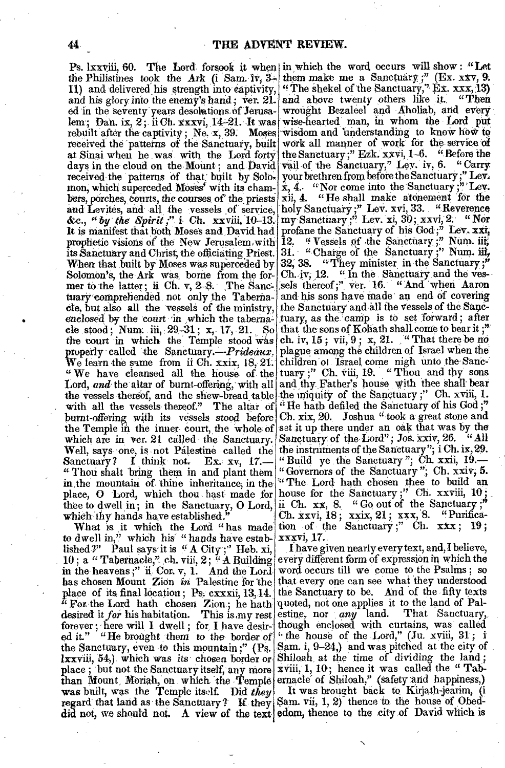Ps. lxxviii, 60. The Lord forsook it when in which the word occurs will show: "Let the Philistines took the Ark (i Sam. 1v,  $3-$ 11) and delivered his strength into captivity, and his glory into the enemy's hand; ver. 21. ed in the seventy years desolutions of Jerusalem.; Dan. ix, 2;. ii Ch. xxxvi, 14-21. It was rebuilt after the captivity; Ne,  $x$ , 39. Moses received the patterns of the Sanctuary, built at Sinai when he was with the Lord forty days in the cloud on the Mount; and David received the patterns of that built by Solomon, which superceded Moses' with its chambers, porches, courts, the courses of the priests xii, 4. "He shall make atonement for the and Levites, and all the vessels of service,  $\&c.,$  "*by the Spirit j*" *i* Ch., xxviii, 10-13. It is manifest that both Moses and , David had prophetic visions of the New Jerusalem with its Sanctuary and Christ, the officiating Priest. Solornon'S, the Ark was, borne from the former to the latter; ii Ch. v,  $2-8$ . The Sanctuary comprehended not only the Tabernacle, but also all the vessels of the ministry, enclosed by the court in which the tabernacle stood; Num: iii, 29-31; x, 17, 21. So that the sons of Kohath shall come to bear it;" cle stood; Num. iii, 29-31; x, 17, 21. So that the sons of Kohath shall come to bear it;"<br>the court in which the Temple stood was ch. iv, 15; vii, 9; x, 21. "That there be no properly called the Sanctuary. $-Prideaux$ . We learn the same from ii Ch. xxix, 18, 21. children of Israel come nigh unto the Sanc-" We have cleansed all the house of the tuary;" Ch. viii, 19. "Thou and thy sons Lord, and the altar of burnt-offering, with all and thy Father's house with thee shall bear the vessels thereof, and the shew-bread table the miquity of the Sanctuary;" Ch. xviii, 1. with all the vessels thereof." The altar of "He hath defiled the Sanctuary of his  $God;$ " burnt-offering with its vessels stood before Ch. xix, 20. Joshua "took a great stone and the Temple in the inner court, the whole of set it up there under an oak that was by the which are in ver. 21 called the Sanctuary. Sanctuary of the Lord"; Jos. xxiv, 26. "All Well, says one, is not Palestine called the Sanctuary? I think not. Ex. xv, 17.-Thou shalt 'bring them in and plant them in, the mountain of thine inheritance, in the "The Lord hath chosen thee to build an place, **O** Lord, which thou hast made for house for the Sanctuary ;" Ch. xxviii, 10; thee to dwell in; in the Sanctuary, **0** Lord, which thy hands have established."

to dwell in," which his' "hands have established?" Paul says it is " A City;" Heb. xi, 10; a "Tabernacle," ch. viii, 2; "A Building in the heavens;" ii. Cor. v, 1. And the Lord word occurs till we come to the Psalms; so has chosen Mount Zion in Palestine for the place of its final location; Pa. cxxxii, 13,14.  $\ddot{a}$  For the Lord hath chosen Zion; he hath desired *it for* his habitation. This is ,my rest forever; here will I dwell; for I have desired it." "He brought them to the border of the Sanctuary, even to this mountain ;" **(Ps.**  lxxviii, 54,). which was its chosen border or place ; but not the Sanctuary itself, any more  $x$ viii, 1, 10; hence it was called the "Tabthan Mount Moriah, on which the Temple ernacle of Shiloah," (safety and happiness,) was built, was the Temple itself. Did *they*  regard that land as the Sanctuary? If they Sam. vii, 1, 2) thence to, the house of Obeddid not, we should not. A view of the text edom, thence to the city of David which is

When that built by Moses was superceded by  $32, 38$ . "They minister in the Sanctuary;" What is it which the Lord "has made tion of the Sanctuary;" Ch.  $xxx$ ; 19; them make me a Sanctuary ;" (Ex. xxv, 9. "The shekel of the Sanctuary,"  $Ex. xxx, 13$ ) and above twenty others like it. "Then wrought Bezaleel and Aholiab, and every wise-hearted' man, in whom the Lord put wisdom and 'understanding to know how to work all manner of work for the service of the Sanctuary;" Ezk. xxvi, 1-6. "Before the vail of the Sanctuary," Ley. iv, 6. "Carry your brethren from before the Sanctuary;" Lev.  $x, 4$ . "Nor come into the Sanctuary;" Lev. holy Sanctuary ;" Lev. xvi, 33. . "Reverence Sanctuary;<sup>"</sup> Lev. xi, 30; xxvi, 2. *"Nor* profane the Sanctuary of his God;" Lev.  $\mathbf{x} \mathbf{x} \mathbf{i}_i$ 12. " Vessels of the Sanctuary;" Num. iii, 31. "Charge of the Sanctuary;" Num. iii,  $Ch.$ iv;  $12.$  "In the Sanctuary and the vessels thereof;" ver. 16. "And when Aaron and his sons have made an end of covering the Sanctuary and all the Vessels of the Sac tuary, as the camp is to set forward; after plague among the children of Israel when the the instruments of the Sanctuary"; i Ch. ix, 29. "Build ye the Sanctuary"; Ch. xxii,  $19$ . "Governors of the Sanctuary "; Ch. xxiv, 5. ii Ch.  $xx$ , 8., "Go out of the Sanctuary;" Ch. Xxvi, 18 ; xxix, 21; xxx, 8. "Purificaxxxvi, 17.

> . **I** have given nearlyevery text, and, **I** believe, every different form- of expression in which the that every one can see what they understood the Sanctuary to be. And of the fifty texts quoted, not one applies it to the land of Pal-<br>estine, nor any land. That Sanctuary, estine, nor *any* land. That Sanctuary, though enclosed with curtains, was' called "the house of the Lord," (Ju. xviii, 31; i Sam. i, 9-24,) and was pitched at the city of Shiloah, at the time of dividing the land ;

It was brought back to Kirjath-jearim, (i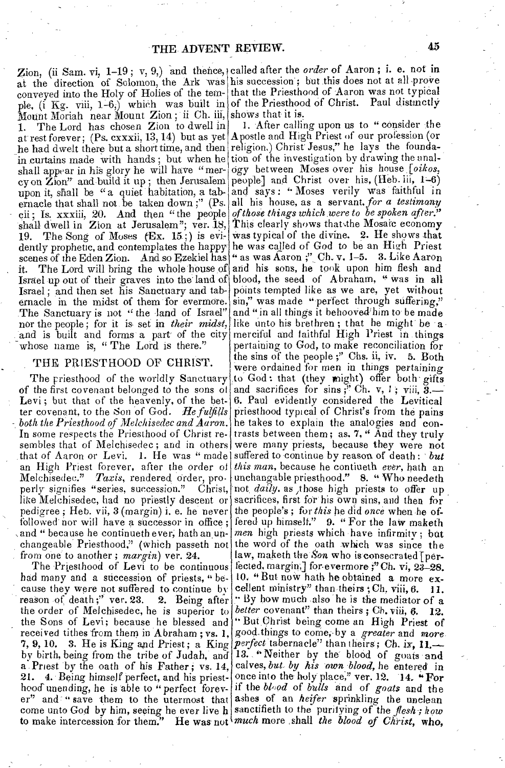at the direction of Solomon, the Ark was his succession; but this does not at all prove conveyed into the Holy of Holies of the tem- that the Priesthood of Aaron was not typical ple,  $(i \text{ Kg. viii, 1-6})$  which was built in of the Priesthood of Christ. Paul distinctly Mount Moriah near Mount Zion; ii Ch. iii, shows that it is. 1. The Lord has chosen Zion to dwell in at rest forever; (Ps. cxxxii, 13, 14) but as yet Apostle and High Priest of our profession (or he had dwelt there but a short time, and then religion.) Christ Jesus," he lays the foundain curtains made with hands; but when he shall appear in his glory he will have "mercy on Zion" and build it up ; then Jerusalem upon it, shall be " a quiet habitation, a tabernacle that shall not be taken down;" (Ps. all his house, as a servant, *for a testimony* cii; Is. xxxiii, 20. And then "the people shall dwell in Zion at Jerusalem"; ver.  $18$ , 19. The Song of Moses  $(Ex. 15_j)$  is evidently prophetic, and contemplates the happy scenes of the Eden Zion. And so Ezekiel has it. The Lord will bring the whole house of and his sons, he took upon him flesh and Israel up out of their graves into the land of Israel ; and then set his Sanctuary and tabernacle in the midst of them for evermore. The Sanctuary is not " the land of Israel" nor the people; for it is set in *their midst*, and is built and forms a part of the city whose name is, "The Lord is there."

#### THE PRIESTHOOD OF CHRIST.

The priesthood of the worldly Sanctuary of the first covenant belonged to the sons of Levi; but that of the heavenly, of the better covenant, to the Son of God. *He fulfills ,both the Priesthood of Melchisedec and Aaron.*  In some respects the Priesthood of Christ resembles that of Melchisedec; and in others that of Aaron or Levi. 1. He was "made an High Priest forever, after the order of Melchisedec." Taxis, rendered order, pro-<br>perly signifies "series, succession." Christ, perly signifies "series, succession." like Melchisedec, had no priestly descent or pedigree ; Heb. vii, 3 (margin) i. e. he never followed nor will have a successor in office ; and " because he continueth ever, hath an unchangeable Priesthood," (which passeth not from one to another ; *margin)* ver. 24.

The Priesthood of Levi to be continuous had many and a succession of priests, " because they were not suffered to continue by<br>reason of death;" ver. 23. 2. Being after reason of death;" ver. 23. the order of Melchisedec, he is superior to the Sons of Levi; because he blessed and received tithes from them in Abraham; vs. 1, 7, 9, 10. 3. He is King and Priest; a King *perfect* tabernacle" than theirs; Ch. ix, 11. er" and "save them to the utermost that ashes of an *heifer* sprinkling the unclean come unto God by him, seeing he ever live h to make intercession for them." He was not

Zion, (ii Sam. vi, 1-19; v, 9,) and thence, called after the *order* of Aaron; i. e. not in

by birth, being from the tribe of Judah, and 13. "Neither by the blood of goats and a Priest by the oath of his Father; vs. 14, calves, *but. by his own blood*, he entered in 21. 4. Being himself perfect, and his priest- once into the holy place," ver. 12. 14.  $\cdot$  For hood unending, he is able to "perfect forev- if the *blood* of *bulls* and of *goats* and the 1. After calling upon us to "consider the tion of the investigation by drawing the analogy between Moses over his house *[oikos,*  people] and Christ over his, (Heb. iii, 1-6) and says : " Moses verily was faithful in *of those things which .were to be spoken after."*  This clearly shows that the Mosaic economy was typical of the divine. 2. He shows that was typical of the divine. 2. He shows that<br>he was called of God to be an High Priest " as was Aaron ;" Ch. v.  $1-5$ . 3. Like Aaron blood, the seed of Abraham, " Was in all points tempted like as we are, yet without sin," was made "perfect through suffering," and "in all things it behooved him to be made like unto his brethren; that he might be a merciful and faithful High Priest in things pertaining to God, to make reconciliation for the sins of the people ;" Chs. ii, iv. 5. Both were ordained for men in things pertaining to God: that (they might) offer both gifts and sacrifices for sins ;<sup>3</sup> Ch. v, 1; viii, 6. Paul evidently considered the Levitical priesthood typical of Christ's from the pains he takes to explain the analogies and contrasts between them ; as. 7, " And they truly were many priests, because they were not suffered to continue by reason of death: but *this man,* because he contiueth *ever,* bath an unchangable priesthood." 8. " Who needeth not, *daily,* as ,those high priests to offer up sacrifices, first for his own sins, and then for the people's; for *this* he did once when he offered up himself." 9. " For the law maketh *men* high priests which have infirmity ; but the word of the oath which was since the law, maketh the Son who is consecrated [perfected, margin, for evermore ;"Ch. vi, 23-28. 10. "But now hath he obtained a more excellent ministry" than-theirs ;Ch. viii, *6. 11. By* how much -also he is the mediator of a *better* covenant" than theirs; Ch. viii, 6. 12. " But Christ being come an High Priest of good:things to come;.by a *greater* and more sanctifieth to the purifying of the *flesh-; how much* more :shall *the blood of Christ,* who,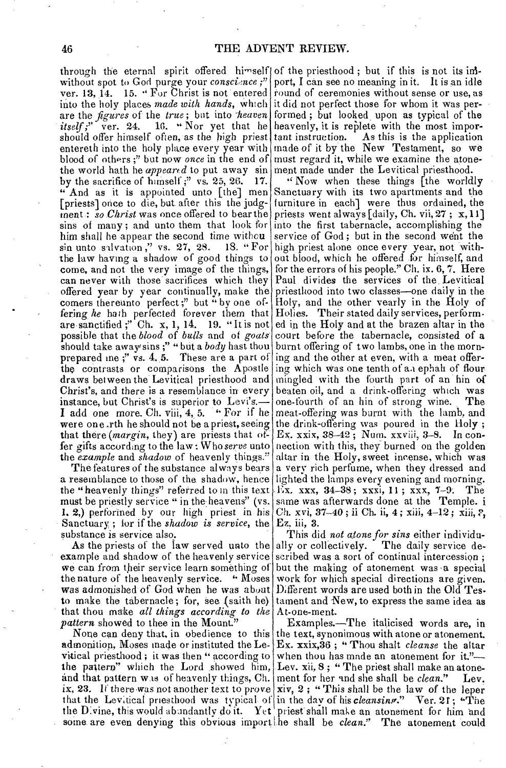through the eternal spirit offered himself of the priesthood; but if this is not its ininto the holy places *made with hands*, which it did not perfect those for whom it was perare the *figures* of the *true*; but into *heaven* formed; but looked upon as typical of the *itself*;" ver. 24. 16. "Nor yet that he heavenly, it is replete with the most imporshould offer himself often, as the high priest tant instruction. As this is the application the world hath he *appeared* to put away  $\sin$  ment made under the Levitical priesthood. "And as it is appointed unto [the] men Sanctuary with its two apartments and the I add one more. Ch. viii, 4, 5. " For if he meat-offering was burnt with the lamb, and without spot to God purge your *conscience*;" ver. 13, 14. 15. " For Christ is not entered entereth into the holy place every year with blood of others ;" but now *once* in the end of by the sacrifice of himself;" vs. 25, 26. 17. [priests] once to die, but. after this the judgment.: *so Christ* was once offered to bear the sins of many; and unto them that look for him shall he appear the second time withou  $\sin$  unto salvation," vs. 27, 28. 18. "For  $sin$  unto salvation," vs. 27, 28. the law having a shadow of good things to come, and not the very image of the things, can never with those sacrifices which they offered year by year continually, make the comers thereunto perfect;" but "by one offering he hath perfected forever them that are sanctified ;" Ch. x, 1, 14. 19. " It is not possible that the *blood* of *bulls* and of *goats*  should take away'sins ;" "but a *body* hast thou prepared me;" vs. 4, 5. These are a part of the contrasts or comparisons the Apostle draws between the Levitical priesthood and Christ's, and there is a resemblance in every instance, but Christ's is superior to Levi's. were one .rth he should not be a priest, seeing that there *(margin,* they) are priests that offer gifts according to the law : Who *serve* unto the *example* and *shadow* of heavenly things."

The features of the substance always bears a resemblance to those of the shadow, hence the "heavenly things" referred to in this text must be priestly service " in the heavens" (vs. 1. 2.) performed by our high priest in his Sanctuary ; for if the *shadow is service,* the substance is service also.

that thou make *all things according to the* At-one-ment. As the priests of the law served unto the ally or collectively. example and shadow of the heavenly service we can from their service learn something of the nature of the heavenly service. "Moses was admonished *of* God when he was about to make the tabernacle; for, see  $\{\text{suit}\}$ *pattern* showed to thee in the Mount."

vitical priesthood ; it was then " according to when thou has made an atonement for it." the pattern" which the Lord showed him, Lev. xii, 8; "The priest shall make an atonethe Divine, this would abundantly do it. Yet

port, I can see no meaning in it. It is an idle round of ceremonies without sense or use, as made of it by the, New Testament, so we must regard it, while we examine the atone-

" Now when these things [the worldly furniture in each] were thus ordained, the priests went always [daily, Ch. vii, 27 ; x, 11] into the first tabernacle, accomplishing the service of God ; but in the second went the high priest alone once every year, not without blood, which he offered for himself, and for the errors of his people." Ch. ix. 6, 7. Here Paul divides the services of the. Levitical priesthood into two classes—one daily in the Holy, and the other yearly in the Holy of Holies. Their stated daily services, perform. ed in the Holy and at the brazen altar in the court before the tabernacle, consisted of a burnt offering of two lambs, one in the morning and the other at even, with a meat offering which Was one tenth of aa ephah of flour mingled with the fourth part of an hin of beaten oil, and a drink-offering which was one-fourth of an hin of strong wine. The the drink-offering was poured in the Holy ; Ex. xxix, 38-42 ; Num, xxviii, 3-8. In connection with this, they burned on the golden altar in the Holy, sweet incense, which was a very rich perfume, when they dressed and lighted the lamps every evening and morning. Ex. xxx, 34-38; xxxi, 11; xxx, 7-9. The same was afterwards done at the Temple. i Ch. xvi, 37-40; ii Ch. ii, 4; xiii, 4-12; xiii, ?, Ez, iii, 3.

This did, *not alone for sins* either individu-The daily service described was a sort of continual intercession; but the making of atonement was a special work for which special directions are given. Different words are used both in the Old Testament and New, to express the same idea as

Examples.—The italicised words are, in None can deny that, in obedience to this the text, synonimous with atone or atonement. admonition, Moses made or instituted the Le- Ex. xxix,36; "Thou shalt *cleanse* the altar and that pattern was of heavenly things, Ch. ment for her and she shall be *clean.*" Lev. ix, 23. If there was not another text to prove xiv, 2; "This shall be the law of the leper that the Levitical priesthood was typical of in the day of his *cleansing*." Ver. 21; "The priest' shall make an atonement for him and some are even denying this obvious import he shall be *clean.*" The atonement could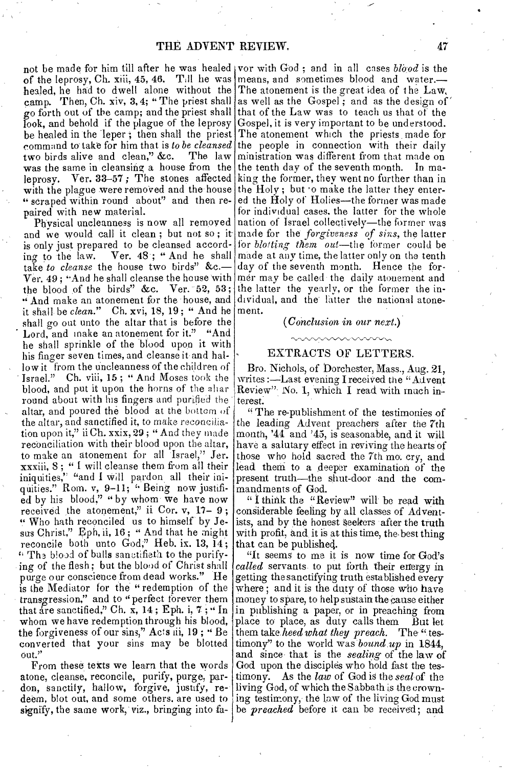not be made for him till after he was healed vor with God; and in all cases *blood* is the of the leprosy, Ch. xiii, 45, 46. Till he was means, and sometimes blood and water.healed, he had to dwell alone without the The atonement is the great idea of the Law, camp. Then, Ch. xiv, 3, 4; "The priest shall as well as the Gospel; and as the design of go forth out of the camp; and the priest shall that of the Law was to teach us that of the look, and behold if the plague of the leprosy Gospel, it is very important to be understood. be healed in the leper; then shall the priest The atonement which the priests made for command to take for him that is *to be cleansed* the people in connection with their daily two birds alive and clean," &c. was the same in cleansing a house from the leprosy. Ver. 33-57 ; The stones affected with the plague were removed and the house " scraped within round about" and then repaired with new material.

Physical uncleanness is now all removed and we would call it clean; but not so; it is only just prepared to be cleansed according to the law. Ver. 48 ; " And he shall take *to cleanse* the house two birds" &c.— Ver.  $49$ ; "And he shall cleanse the house with the blood of the birds" &c. Ver.  $52, 53$ ; And make an atonement for the house, and it shall be *clean."* Ch. xvi, 18, 19 ; " And he ment. shall go out unto the altar that is before the Lord, and make an atonement for it." "And he shall sprinkle of the blood upon it with his finger seven times, and cleanse it and hallow it from the uncleanness of the children of Israel." Ch. viii, 15; "And Moses took the blood, and put it upon the horns of the aliar round about with his fingers and purified the altar, and poured the-blood at the bottom of the altar, and sanctified it, to make reconciliation upon it," ii Ch. xxix, 29 ; " And they made reconciliation with their blood upon the altar, to make an atonement for all Israel," Jer. xxxiii, 8 ; " I will cleanse them from all their iniquities," "and I Will pardon all their iniquities." Rom. v, 9-11; "Being now justified by his blood," " by whom we have now received the atonement," ii Cor. v, 17- 9; " Who bath reconciled us to himself by Jesus Christ," Eph, ii, 16 ; " And that he might reconcile both unto God," Heb. ix. 13, 14;  $\lq$  Th<sub>3</sub> blood of bulls sanetifieth to the purifying of the flesh; but the blood of Christ shall purge our conscience from dead works." He is the Mediator for the "redemption of the transgression," and to "perfect forever them that are sanctified," Ch. x, 14 ; Eph. i, 7 ; " In whom we have redemption through his blood, the forgiveness of our sins," Acts iii, 19 ; " Be converted that your sins may be blotted out."

From these texts we learn that the words atone, cleanse, reconcile, purify, purge, pardon, sanctify, hallow, forgive, justify, redeem, blot out, and some others, are used to ing testimony, the law of the living God must signify, the same work, viz., bringing into fa- be *preached* before it can be received; and

The law ministration was different from that made on the tenth day of the seventh month. In making the former, they went no further than in the Holy; but to make the latter they entered the Holy of Holies—the former was made for individual cases. the latter for the whole nation of Israel collectively—the former was made for the *forgiveness of sins,* the latter for *blotting them out—the* former could be made at any time, the latter only on the tenth day of the seventh month. Hence the former may be called the daily atonement and the latter the yearly, or the former the individual, and the' fatter the national atone-

#### *(Conclusion in our next.)*

### EXTRACTS OF LETTERS.

Bro. Nichols, of Dorchester, Mass., Aug. 21, writes :---Last evening I received the "Advent Review". No. 1, which I read with much interest.

"The re-publishment of the testimonies of the leading Advent preachers after the 7th month, '41 and '45, is seasonable, and it will have a salutary effect in reviving the hearts of those who hold sacred the 7th mo, cry, and lead them to a deeper examination of the present truth—the shut-door and the commandments of God.

" I think the "Review" will be read with considerable feeling by all classes of Adventists, and by the honest Seekers after the truth with profit, and it is at this time, the best thing that can be published.

"It seems to me it is now time for God's *called* servants to put forth their energy in getting the sanctifying truth established every where ; and it is the duty of those who have money to spare, to help sustain the cause either in publishing a paper, or in preaching from place to place, as duty calls them But let them take. *heed what they preach.* The " testimony" to the world was *bound up* in 1844, and since,that is the *sealing* of the law of God upon the disciples who hold fast the testimony. As the *law* of God is the *seal* of the living God, of which the Sabbath is the crown-